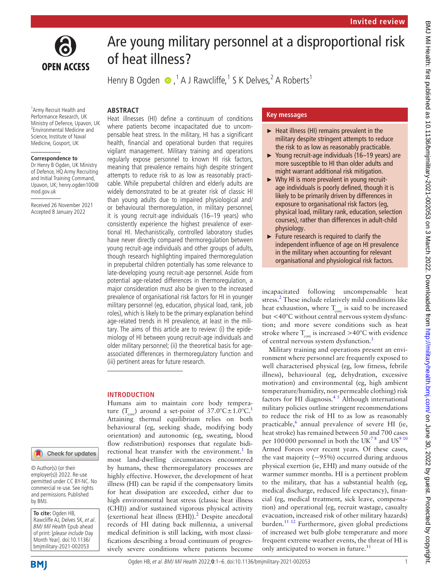



# Are young military personnel at a disproportional risk of heat illness?

Henry B Ogden  $\bigcirc$ ,  $^1$  A J Rawcliffe,  $^1$  S K Delves,  $^2$  A Roberts  $^1$ 

# **ABSTRACT**

<sup>1</sup> Army Recruit Health and Performance Research, UK Ministry of Defence, Upavon, UK 2 Environmental Medicine and Science, Institute of Naval Medicine, Gosport, UK

#### **Correspondence to**

Dr Henry B Ogden, UK Ministry of Defence, HQ Army Recruiting and Initial Training Command, Upavon, UK; henry.ogden100@ mod.gov.uk

Received 26 November 2021 Accepted 8 January 2022

Heat illnesses (HI) define a continuum of conditions where patients become incapacitated due to uncompensable heat stress. In the military, HI has a significant health, financial and operational burden that requires vigilant management. Military training and operations regularly expose personnel to known HI risk factors, meaning that prevalence remains high despite stringent attempts to reduce risk to as low as reasonably practicable. While prepubertal children and elderly adults are widely demonstrated to be at greater risk of classic HI than young adults due to impaired physiological and/ or behavioural thermoregulation, in military personnel, it is young recruit-age individuals (16–19 years) who consistently experience the highest prevalence of exertional HI. Mechanistically, controlled laboratory studies have never directly compared thermoregulation between young recruit-age individuals and other groups of adults, though research highlighting impaired thermoregulation in prepubertal children potentially has some relevance to late-developing young recruit-age personnel. Aside from potential age-related differences in thermoregulation, a major consideration must also be given to the increased prevalence of organisational risk factors for HI in younger military personnel (eg, education, physical load, rank, job roles), which is likely to be the primary explanation behind age-related trends in HI prevalence, at least in the military. The aims of this article are to review: (i) the epidemiology of HI between young recruit-age individuals and older military personnel; (ii) the theoretical basis for ageassociated differences in thermoregulatory function and (iii) pertinent areas for future research.

## **INTRODUCTION**

Humans aim to maintain core body temperature (T<sub>core</sub>) around a set-point of  $37.0^{\circ}$ C $\pm$ [1](#page-4-0).0°C.<sup>1</sup> Attaining thermal equilibrium relies on both behavioural (eg, seeking shade, modifying body orientation) and autonomic (eg, sweating, blood flow redistribution) responses that regulate bidi-rectional heat transfer with the environment.<sup>[1](#page-4-0)</sup> In most land-dwelling circumstances encountered by humans, these thermoregulatory processes are highly effective. However, the development of heat illness (HI) can be rapid if the compensatory limits for heat dissipation are exceeded, either due to high environmental heat stress (classic heat illness (CHI)) and/or sustained vigorous physical activity (exertional heat illness (EHI)).<sup>2</sup> Despite anecdotal records of HI dating back millennia, a universal medical definition is still lacking, with most classifications describing a broad continuum of progressively severe conditions where patients become

# **Key messages**

- ► Heat illness (HI) remains prevalent in the military despite stringent attempts to reduce the risk to as low as reasonably practicable.
- ► Young recruit-age individuals (16–19 years) are more susceptible to HI than older adults and might warrant additional risk mitigation.
- ► Why HI is more prevalent in young recruitage individuals is poorly defined, though it is likely to be primarily driven by differences in exposure to organisational risk factors (eg, physical load, military rank, education, selection courses), rather than differences in adult-child physiology.
- ► Future research is required to clarify the independent influence of age on HI prevalence in the military when accounting for relevant organisational and physiological risk factors.

incapacitated following uncompensable heat stress.<sup>[2](#page-4-1)</sup> These include relatively mild conditions like heat exhaustion, where  $T_{core}$  is said to be increased but <40°C without central nervous system dysfunction; and more severe conditions such as heat stroke where  $T_{\text{core}}$  is increased >40°C with evidence of central nervous system dysfunction.[3](#page-4-2)

Military training and operations present an environment where personnel are frequently exposed to well characterised physical (eg, low fitness, febrile illness), behavioural (eg, dehydration, excessive motivation) and environmental (eg, high ambient temperature/humidity, non-permeable clothing) risk factors for HI diagnosis.<sup>45</sup> Although international military policies outline stringent recommendations to reduce the risk of HI to as low as reasonably practicable,<sup>6</sup> annual prevalence of severe HI (ie, heat stroke) has remained between 50 and 700 cases per 100000 personnel in both the UK<sup>78</sup> and US<sup>910</sup> Armed Forces over recent years. Of these cases, the vast majority  $(-95%)$  occurred during arduous physical exertion (ie, EHI) and many outside of the warmer summer months. HI is a pertinent problem to the military, that has a substantial health (eg, medical discharge, reduced life expectancy), financial (eg, medical treatment, sick leave, compensation) and operational (eg, recruit wastage, casualty evacuation, increased risk of other military hazards) burden.<sup>[11 12](#page-5-2)</sup> Furthermore, given global predictions of increased wet bulb globe temperature and more frequent extreme weather events, the threat of HI is only anticipated to worsen in future.<sup>[11](#page-5-2)</sup>

#### Check for updates

© Author(s) (or their employer(s)) 2022. Re-use permitted under CC BY-NC. No commercial re-use. See rights and permissions. Published by BMJ.

**To cite:** Ogden HB, Rawcliffe AJ, Delves SK, et al. BMJ Mil Health Epub ahead of print: [please include Day Month Year]. doi:10.1136/ bmjmilitary-2021-002053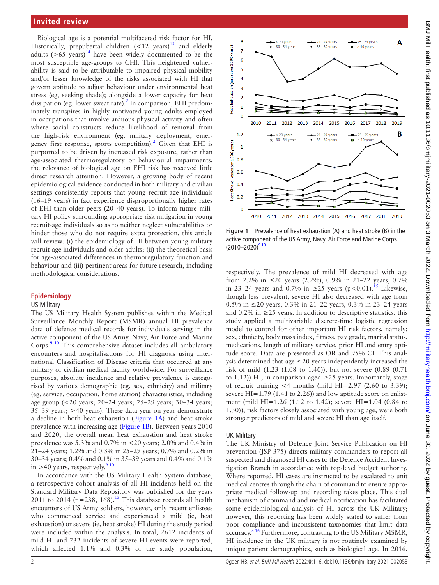# **Invited review**

Biological age is a potential multifaceted risk factor for HI. Historically, prepubertal children  $(<12$  years)<sup>13</sup> and elderly adults  $(>65 \text{ years})^{14}$  have been widely documented to be the most susceptible age-groups to CHI. This heightened vulnerability is said to be attributable to impaired physical mobility and/or lesser knowledge of the risks associated with HI that govern aptitude to adjust behaviour under environmental heat stress (eg, seeking shade); alongside a lower capacity for heat dissipation (eg, lower sweat rate).<sup>[2](#page-4-1)</sup> In comparison, EHI predominately transpires in highly motivated young adults employed in occupations that involve arduous physical activity and often where social constructs reduce likelihood of removal from the high-risk environment (eg, military deployment, emer-gency first response, sports competition).<sup>[2](#page-4-1)</sup> Given that EHI is purported to be driven by increased risk exposure, rather than age-associated thermoregulatory or behavioural impairments, the relevance of biological age on EHI risk has received little direct research attention. However, a growing body of recent epidemiological evidence conducted in both military and civilian settings consistently reports that young recruit-age individuals (16–19 years) in fact experience disproportionally higher rates of EHI than older peers (20–40 years). To inform future military HI policy surrounding appropriate risk mitigation in young recruit-age individuals so as to neither neglect vulnerabilities or hinder those who do not require extra protection, this article will review: (i) the epidemiology of HI between young military recruit-age individuals and older adults; (ii) the theoretical basis for age-associated differences in thermoregulatory function and behaviour and (iii) pertinent areas for future research, including methodological considerations.

### **Epidemiology**

#### US Military

The US Military Health System publishes within the Medical Surveillance Monthly Report (MSMR) annual HI prevalence data of defence medical records for individuals serving in the active component of the US Army, Navy, Air Force and Marine Corps.<sup>[9 10](#page-5-1)</sup> This comprehensive dataset includes all ambulatory encounters and hospitalisations for HI diagnosis using International Classification of Disease criteria that occurred at any military or civilian medical facility worldwide. For surveillance purposes, absolute incidence and relative prevalence is categorised by various demographic (eg, sex, ethnicity) and military (eg, service, occupation, home station) characteristics, including age group (<20 years; 20–24 years; 25–29 years; 30–34 years; 35–39 years; >40 years). These data year-on-year demonstrate a decline in both heat exhaustion [\(Figure](#page-1-0) 1A) and heat stroke prevalence with increasing age [\(Figure](#page-1-0) 1B). Between years 2010 and 2020, the overall mean heat exhaustion and heat stroke prevalence was 5.3% and 0.7% in <20 years; 2.0% and 0.4% in 21–24 years; 1.2% and 0.3% in 25–29 years; 0.7% and 0.2% in 30–34 years; 0.4% and 0.1% in 35–39 years and 0.4% and 0.1% in >40 years, respectively. $910$ 

In accordance with the US Military Health System database, a retrospective cohort analysis of all HI incidents held on the Standard Military Data Repository was published for the years 2011 to 2014 ( $n=238$ , 168).<sup>[15](#page-5-5)</sup> This database records all health encounters of US Army soldiers, however, only recent enlistees who commenced service and experienced a mild (ie, heat exhaustion) or severe (ie, heat stroke) HI during the study period were included within the analysis. In total, 2612 incidents of mild HI and 732 incidents of severe HI events were reported, which affected 1.1% and 0.3% of the study population,



<span id="page-1-0"></span>**Figure 1** Prevalence of heat exhaustion (A) and heat stroke (B) in the active component of the US Army, Navy, Air Force and Marine Corps  $(2010-2020)^{910}$ 

respectively. The prevalence of mild HI decreased with age from 2.2% in  $\leq$  20 years (2.2%), 0.9% in 21–22 years, 0.7% in 23–24 years and 0.7% in ≥25 years (p<0.01).<sup>[15](#page-5-5)</sup> Likewise, though less prevalent, severe HI also decreased with age from 0.5% in ≤20 years, 0.3% in 21–22 years, 0.3% in 23–24 years and 0.2% in  $\geq$  25 years. In addition to descriptive statistics, this study applied a multivariable discrete-time logistic regression model to control for other important HI risk factors, namely: sex, ethnicity, body mass index, fitness, pay grade, marital status, medications, length of military service, prior HI and entry aptitude score. Data are presented as OR and 95% CI. This analysis determined that age  $\leq$  20 years independently increased the risk of mild (1.23 (1.08 to 1.40)), but not severe (0.89 (0.71 to 1.12)) HI, in comparison aged  $\geq$  25 years. Importantly, stage of recruit training  $<$ 4 months (mild HI=2.97 (2.60 to 3.39); severe HI=1.79 (1.41 to 2.26)) and low aptitude score on enlistment (mild HI=1.26 (1.12 to 1.42); severe HI=1.04 (0.84 to 1.30)), risk factors closely associated with young age, were both stronger predictors of mild and severe HI than age itself.

#### UK Military

The UK Ministry of Defence Joint Service Publication on HI prevention (JSP 375) directs military commanders to report all suspected and diagnosed HI cases to the Defence Accident Investigation Branch in accordance with top-level budget authority. Where reported, HI cases are instructed to be escalated to unit medical centres through the chain of command to ensure appropriate medical follow-up and recording takes place. This dual mechanism of command and medical notification has facilitated some epidemiological analysis of HI across the UK Military; however, this reporting has been widely stated to suffer from poor compliance and inconsistent taxonomies that limit data accuracy.<sup>8 16</sup> Furthermore, contrasting to the US Military MSMR, HI incidence in the UK military is not routinely examined by unique patient demographics, such as biological age. In 2016,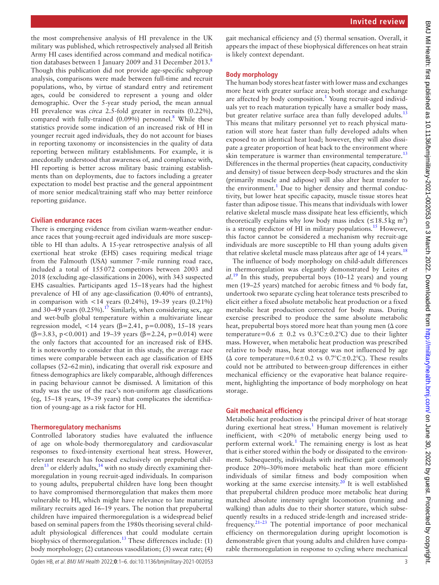the most comprehensive analysis of HI prevalence in the UK military was published, which retrospectively analysed all British Army HI cases identified across command and medical notifica-tion databases between 1 January 2009 and 31 December 2013.<sup>[8](#page-5-6)</sup> Though this publication did not provide age-specific subgroup analysis, comparisons were made between full-time and recruit populations, who, by virtue of standard entry and retirement ages, could be considered to represent a young and older demographic. Over the 5-year study period, the mean annual HI prevalence was *circa* 2.5-fold greater in recruits (0.22%), compared with fully-trained  $(0.09\%)$  personnel.<sup>[8](#page-5-6)</sup> While these statistics provide some indication of an increased risk of HI in younger recruit aged individuals, they do not account for biases in reporting taxonomy or inconsistencies in the quality of data reporting between military establishments. For example, it is anecdotally understood that awareness of, and compliance with, HI reporting is better across military basic training establishments than on deployments, due to factors including a greater expectation to model best practise and the general appointment of more senior medical/training staff who may better reinforce reporting guidance.

## **Civilian endurance races**

There is emerging evidence from civilian warm-weather endurance races that young-recruit aged individuals are more susceptible to HI than adults. A 15-year retrospective analysis of all exertional heat stroke (EHS) cases requiring medical triage from the Falmouth (USA) summer 7-mile running road race, included a total of 155072 competitors between 2003 and 2018 (excluding age-classifications in 2006), with 343 suspected EHS casualties. Participants aged 15–18years had the highest prevalence of HI of any age-classification (0.40% of entrants), in comparison with  $\langle 14 \rangle$  years (0.24%), 19–39 years (0.21%) and 30–49 years  $(0.25\%)$ .<sup>[17](#page-5-7)</sup> Similarly, when considering sex, age and wet-bulb global temperature within a multivariate linear regression model, <14 years (β=2.41, p=0.008), 15–18 years ( $\beta$ =3.83, p<0.001) and 19-39 years ( $\beta$ =2.24, p=0.014) were the only factors that accounted for an increased risk of EHS. It is noteworthy to consider that in this study, the average race times were comparable between each age classification of EHS collapses (52–62min), indicating that overall risk exposure and fitness demographics are likely comparable, although differences in pacing behaviour cannot be dismissed. A limitation of this study was the use of the race's non-uniform age classifications (eg, 15–18 years, 19–39 years) that complicates the identification of young-age as a risk factor for HI.

# **Thermoregulatory mechanisms**

Controlled laboratory studies have evaluated the influence of age on whole-body thermoregulatory and cardiovascular responses to fixed-intensity exertional heat stress. However, relevant research has focused exclusively on prepubertal chil- $dren<sup>13</sup>$  $dren<sup>13</sup>$  $dren<sup>13</sup>$  or elderly adults,<sup>14</sup> with no study directly examining thermoregulation in young recruit-aged individuals. In comparison to young adults, prepubertal children have long been thought to have compromised thermoregulation that makes them more vulnerable to HI, which might have relevance to late maturing military recruits aged 16–19 years. The notion that prepubertal children have impaired thermoregulation is a widespread belief based on seminal papers from the 1980s theorising several childadult physiological differences that could modulate certain biophysics of thermoregulation.<sup>13</sup> These differences include:  $(1)$ body morphology; (2) cutaneous vasodilation; (3) sweat rate; (4)

gait mechanical efficiency and (5) thermal sensation. Overall, it appears the impact of these biophysical differences on heat strain is likely context dependant.

# **Body morphology**

The human body stores heat faster with lower mass and exchanges more heat with greater surface area; both storage and exchange are affected by body composition.<sup>1</sup> Young recruit-aged individuals yet to reach maturation typically have a smaller body mass, but greater relative surface area than fully developed adults.<sup>[13](#page-5-3)</sup> This means that military personnel yet to reach physical maturation will store heat faster than fully developed adults when exposed to an identical heat load; however, they will also dissipate a greater proportion of heat back to the environment where skin temperature is warmer than environmental temperature.<sup>[13](#page-5-3)</sup> Differences in the thermal properties (heat capacity, conductivity and density) of tissue between deep-body structures and the skin (primarily muscle and adipose) will also alter heat transfer to the environment.<sup>[1](#page-4-0)</sup> Due to higher density and thermal conductivity, but lower heat specific capacity, muscle tissue stores heat faster than adipose tissue. This means that individuals with lower relative skeletal muscle mass dissipate heat less efficiently, which theoretically explains why low body mass index  $(\leq 18.5 \text{ kg m}^2)$ is a strong predictor of HI in military populations.<sup>[15](#page-5-5)</sup> However, this factor cannot be considered a mechanism why recruit-age individuals are more susceptible to HI than young adults given that relative skeletal muscle mass plateaus after age of 14 years.<sup>[18](#page-5-8)</sup>

The influence of body morphology on child-adult differences in thermoregulation was elegantly demonstrated by Leites *et al*. [19](#page-5-9) In this study, prepubertal boys (10–12 years) and young men (19–25 years) matched for aerobic fitness and % body fat, undertook two separate cycling heat tolerance tests prescribed to elicit either a fixed absolute metabolic heat production or a fixed metabolic heat production corrected for body mass. During exercise prescribed to produce the same absolute metabolic heat, prepubertal boys stored more heat than young men (Δ core temperature=0.6  $\pm$  0.2 vs 0.3°C $\pm$ 0.2°C) due to their lighter mass. However, when metabolic heat production was prescribed relative to body mass, heat storage was not influenced by age ( $\Delta$  core temperature=0.6±0.2 vs 0.7°C±0.2°C). These results could not be attributed to between-group differences in either mechanical efficiency or the evaporative heat balance requirement, highlighting the importance of body morphology on heat storage.

## **Gait mechanical efficiency**

Metabolic heat production is the principal driver of heat storage during exertional heat stress.<sup>[1](#page-4-0)</sup> Human movement is relatively inefficient, with <20% of metabolic energy being used to perform external work.<sup>[1](#page-4-0)</sup> The remaining energy is lost as heat that is either stored within the body or dissipated to the environment. Subsequently, individuals with inefficient gait commonly produce 20%–30%more metabolic heat than more efficient individuals of similar fitness and body composition when working at the same exercise intensity.<sup>[20](#page-5-10)</sup> It is well established that prepubertal children produce more metabolic heat during matched absolute intensity upright locomotion (running and walking) than adults due to their shorter stature, which subsequently results in a reduced stride-length and increased stridefrequency. $21-23$  The potential importance of poor mechanical efficiency on thermoregulation during upright locomotion is demonstrable given that young adults and children have comparable thermoregulation in response to cycling where mechanical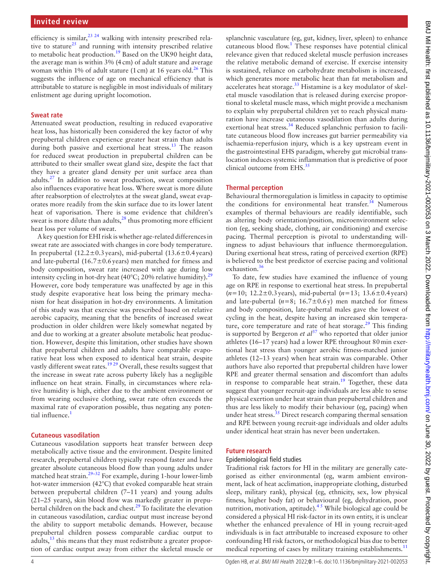efficiency is similar,  $23 \times 24$  walking with intensity prescribed relative to stature<sup>25</sup> and running with intensity prescribed relative to metabolic heat production.<sup>[19](#page-5-9)</sup> Based on the UK90 height data, the average man is within 3% (4cm) of adult stature and average woman within 1% of adult stature (1 cm) at 16 years old.<sup>[26](#page-5-14)</sup> This suggests the influence of age on mechanical efficiency that is attributable to stature is negligible in most individuals of military enlistment age during upright locomotion.

### **Sweat rate**

Attenuated sweat production, resulting in reduced evaporative heat loss, has historically been considered the key factor of why prepubertal children experience greater heat strain than adults during both passive and exertional heat stress.<sup>13</sup> The reason for reduced sweat production in prepubertal children can be attributed to their smaller sweat gland size, despite the fact that they have a greater gland density per unit surface area than adults. $27$  In addition to sweat production, sweat composition also influences evaporative heat loss. Where sweat is more dilute after reabsorption of electrolytes at the sweat gland, sweat evaporates more readily from the skin surface due to its lower latent heat of vaporisation. There is some evidence that children's sweat is more dilute than adults, $^{28}$  $^{28}$  $^{28}$  thus promoting more efficient heat loss per volume of sweat.

A key question for EHI risk is whether age-related differences in sweat rate are associated with changes in core body temperature. In prepubertal  $(12.2\pm0.3 \text{ years})$ , mid-pubertal  $(13.6\pm0.4 \text{ years})$ and late-pubertal (16.7 $\pm$ 0.6 years) men matched for fitness and body composition, sweat rate increased with age during low intensity cycling in hot-dry heat (40°C; 20% relative humidity).<sup>[29](#page-5-17)</sup> However, core body temperature was unaffected by age in this study despite evaporative heat loss being the primary mechanism for heat dissipation in hot-dry environments. A limitation of this study was that exercise was prescribed based on relative aerobic capacity, meaning that the benefits of increased sweat production in older children were likely somewhat negated by and due to working at a greater absolute metabolic heat production. However, despite this limitation, other studies have shown that prepubertal children and adults have comparable evaporative heat loss when exposed to identical heat strain, despite vastly different sweat rates.<sup>[19 29](#page-5-9)</sup> Overall, these results suggest that the increase in sweat rate across puberty likely has a negligible influence on heat strain. Finally, in circumstances where relative humidity is high, either due to the ambient environment or from wearing occlusive clothing, sweat rate often exceeds the maximal rate of evaporation possible, thus negating any potential influence.<sup>1</sup>

#### **Cutaneous vasodilation**

Cutaneous vasodilation supports heat transfer between deep metabolically active tissue and the environment. Despite limited research, prepubertal children typically respond faster and have greater absolute cutaneous blood flow than young adults under matched heat strain.<sup>29-32</sup> For example, during 1-hour lower-limb hot-water immersion (42°C) that evoked comparable heat strain between prepubertal children (7–11 years) and young adults (21–25 years), skin blood flow was markedly greater in prepubertal children on the back and chest.<sup>29</sup> To facilitate the elevation in cutaneous vasodilation, cardiac output must increase beyond the ability to support metabolic demands. However, because prepubertal children possess comparable cardiac output to adults, $^{13}$  this means that they must redistribute a greater proportion of cardiac output away from either the skeletal muscle or

splanchnic vasculature (eg, gut, kidney, liver, spleen) to enhance cutaneous blood flow.<sup>[1](#page-4-0)</sup> These responses have potential clinical relevance given that reduced skeletal muscle perfusion increases the relative metabolic demand of exercise. If exercise intensity is sustained, reliance on carbohydrate metabolism is increased, which generates more metabolic heat than fat metabolism and accelerates heat storage.<sup>33</sup> Histamine is a key modulator of skeletal muscle vasodilation that is released during exercise proportional to skeletal muscle mass, which might provide a mechanism to explain why prepubertal children yet to reach physical maturation have increase cutaneous vasodilation than adults during exertional heat stress.<sup>34</sup> Reduced splanchnic perfusion to facilitate cutaneous blood flow increases gut barrier permeability via ischaemia-reperfusion injury, which is a key upstream event in the gastrointestinal EHS paradigm, whereby gut microbial translocation induces systemic inflammation that is predictive of poor clinical outcome from  $EHS$ <sup>[35](#page-5-20)</sup>

### **Thermal perception**

Behavioural thermoregulation is limitless in capacity to optimise the conditions for environmental heat transfer.<sup>[34](#page-5-19)</sup> Numerous examples of thermal behaviours are readily identifiable, such as altering body orientation/position, microenvironment selection (eg, seeking shade, clothing, air conditioning) and exercise pacing. Thermal perception is pivotal to understanding willingness to adjust behaviours that influence thermoregulation. During exertional heat stress, rating of perceived exertion (RPE) is believed to the best predictor of exercise pacing and volitional exhaustion.<sup>[36](#page-5-21)</sup>

To date, few studies have examined the influence of young age on RPE in response to exertional heat stress. In prepubertal (*n*=10; 12.2±0.3years), mid-pubertal (*n*=13; 13.6±0.4years) and late-pubertal  $(n=8; 16.7\pm0.6y)$  men matched for fitness and body composition, late-pubertal males gave the lowest of cycling in the heat, despite having an increased skin temperature, core temperature and rate of heat storage. $^{29}$  $^{29}$  $^{29}$  This finding is supported by Bergeron *et*  $al^{37}$  who reported that older junior athletes (16–17 years) had a lower RPE throughout 80min exertional heat stress than younger aerobic fitness-matched junior athletes (12–13 years) when heat strain was comparable. Other authors have also reported that prepubertal children have lower RPE and greater thermal sensation and discomfort than adults in response to comparable heat strain.<sup>19</sup> Together, these data suggest that younger recruit-age individuals are less able to sense physical exertion under heat strain than prepubertal children and thus are less likely to modify their behaviour (eg, pacing) when under heat stress.<sup>35</sup> Direct research comparing thermal sensation and RPE between young recruit-age individuals and older adults under identical heat strain has never been undertaken.

#### **Future research**

#### Epidemiological field studies

Traditional risk factors for HI in the military are generally categorised as either environmental (eg, warm ambient environment, lack of heat acclimation, inappropriate clothing, disturbed sleep, military rank), physical (eg, ethnicity, sex, low physical fitness, higher body fat) or behavioural (eg, dehydration, poor nutrition, motivation, aptitude). $4<sup>5</sup>$  While biological age could be considered a physical HI risk-factor in its own entity, it is unclear whether the enhanced prevalence of HI in young recruit-aged individuals is in fact attributable to increased exposure to other confounding HI risk factors, or methodological bias due to better medical reporting of cases by military training establishments.<sup>[11](#page-5-2)</sup>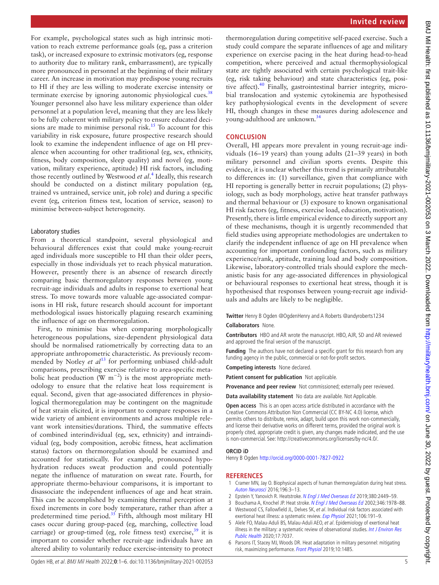For example, psychological states such as high intrinsic motivation to reach extreme performance goals (eg, pass a criterion task), or increased exposure to extrinsic motivators (eg, response to authority due to military rank, embarrassment), are typically more pronounced in personnel at the beginning of their military career. An increase in motivation may predispose young recruits to HI if they are less willing to moderate exercise intensity or terminate exercise by ignoring autonomic physiological cues.<sup>[38](#page-5-23)</sup> Younger personnel also have less military experience than older personnel at a population level, meaning that they are less likely to be fully coherent with military policy to ensure educated deci-sions are made to minimise personal risk.<sup>[15](#page-5-5)</sup> To account for this variability in risk exposure, future prospective research should look to examine the independent influence of age on HI prevalence when accounting for other traditional (eg, sex, ethnicity, fitness, body composition, sleep quality) and novel (eg, motivation, military experience, aptitude) HI risk factors, including those recently outlined by Westwood *et al*. [4](#page-4-3) Ideally, this research should be conducted on a distinct military population (eg, trained vs untrained, service unit, job role) and during a specific event (eg, criterion fitness test, location of service, season) to minimise between-subject heterogeneity.

### Laboratory studies

From a theoretical standpoint, several physiological and behavioural differences exist that could make young-recruit aged individuals more susceptible to HI than their older peers, especially in those individuals yet to reach physical maturation. However, presently there is an absence of research directly comparing basic thermoregulatory responses between young recruit-age individuals and adults in response to exertional heat stress. To move towards more valuable age-associated comparisons in HI risk, future research should account for important methodological issues historically plaguing research examining the influence of age on thermoregulation.

First, to minimise bias when comparing morphologically heterogeneous populations, size-dependent physiological data should be normalised ratiometrically by correcting data to an appropriate anthropometric characteristic. As previously recommended by Notley *et al*<sup>13</sup> for performing unbiased child-adult comparisons, prescribing exercise relative to area-specific metabolic heat production ( $\overline{W}$  m<sup>-2</sup>) is the most appropriate methodology to ensure that the relative heat loss requirement is equal. Second, given that age-associated differences in physiological thermoregulation may be contingent on the magnitude of heat strain elicited, it is important to compare responses in a wide variety of ambient environments and across multiple relevant work intensities/durations. Third, the summative effects of combined interindividual (eg, sex, ethnicity) and intraindividual (eg, body composition, aerobic fitness, heat acclimation status) factors on thermoregulation should be examined and accounted for statistically. For example, pronounced hypohydration reduces sweat production and could potentially negate the influence of maturation on sweat rate. Fourth, for appropriate thermo-behaviour comparisons, it is important to disassociate the independent influences of age and heat strain. This can be accomplished by examining thermal perception at fixed increments in core body temperature, rather than after a predetermined time period. $35$  Fifth, although most military HI cases occur during group-paced (eg, marching, collective load carriage) or group-timed (eg, role fitness test) exercise, $39$  it is important to consider whether recruit-age individuals have an altered ability to voluntarily reduce exercise-intensity to protect

thermoregulation during competitive self-paced exercise. Such a study could compare the separate influences of age and military experience on exercise pacing in the heat during head-to-head competition, where perceived and actual thermophysiological state are tightly associated with certain psychological trait-like (eg, risk taking behaviour) and state characteristics (eg, positive affect).<sup>40</sup> Finally, gastrointestinal barrier integrity, microbial translocation and systemic cytokinemia are hypothesised key pathophysiological events in the development of severe HI, though changes in these measures during adolescence and young-adulthood are unknown.[34](#page-5-19)

# **CONCLUSION**

Overall, HI appears more prevalent in young recruit-age individuals (16–19 years) than young adults (21–39 years) in both military personnel and civilian sports events. Despite this evidence, it is unclear whether this trend is primarily attributable to differences in: (1) surveillance, given that compliance with HI reporting is generally better in recruit populations; (2) physiology, such as body morphology, active heat transfer pathways and thermal behaviour or (3) exposure to known organisational HI risk factors (eg, fitness, exercise load, education, motivation). Presently, there is little empirical evidence to directly support any of these mechanisms, though it is urgently recommended that field studies using appropriate methodologies are undertaken to clarify the independent influence of age on HI prevalence when accounting for important confounding factors, such as military experience/rank, aptitude, training load and body composition. Likewise, laboratory-controlled trials should explore the mechanistic basis for any age-associated differences in physiological or behavioural responses to exertional heat stress, though it is hypothesised that responses between young-recruit age individuals and adults are likely to be negligible.

**Twitter** Henry B Ogden [@OgdenHenry](https://twitter.com/OgdenHenry) and A Roberts [@andyroberts1234](https://twitter.com/andyroberts1234)

# **Collaborators** None.

**Contributors** HBO and AR wrote the manuscript. HBO, AJR, SD and AR reviewed and approved the final version of the manuscript.

**Funding** The authors have not declared a specific grant for this research from any funding agency in the public, commercial or not-for-profit sectors.

**Competing interests** None declared.

**Patient consent for publication** Not applicable.

**Provenance and peer review** Not commissioned; externally peer reviewed.

**Data availability statement** No data are available. Not Applicable.

**Open access** This is an open access article distributed in accordance with the Creative Commons Attribution Non Commercial (CC BY-NC 4.0) license, which permits others to distribute, remix, adapt, build upon this work non-commercially, and license their derivative works on different terms, provided the original work is properly cited, appropriate credit is given, any changes made indicated, and the use is non-commercial. See: [http://creativecommons.org/licenses/by-nc/4.0/.](http://creativecommons.org/licenses/by-nc/4.0/)

#### **ORCID iD**

Henry B Ogden<http://orcid.org/0000-0001-7827-0922>

#### **REFERENCES**

- <span id="page-4-0"></span>1 Cramer MN, Jay O. Biophysical aspects of human thermoregulation during heat stress. [Auton Neurosci](http://dx.doi.org/10.1016/j.autneu.2016.03.001) 2016;196:3–13.
- <span id="page-4-1"></span>2 Epstein Y, Yanovich R. Heatstroke. [N Engl J Med Overseas Ed](http://dx.doi.org/10.1056/NEJMra1810762) 2019;380:2449-59.
- <span id="page-4-2"></span>3 Bouchama A, Knochel JP. Heat stroke. [N Engl J Med Overseas Ed](http://dx.doi.org/10.1056/NEJMra011089) 2002;346:1978-88.
- <span id="page-4-3"></span>Westwood CS, Fallowfield JL, Delves SK, et al. Individual risk factors associated with exertional heat illness: a systematic review. [Exp Physiol](http://dx.doi.org/10.1113/EP088458) 2021;106:191-9.
- 5 Alele FO, Malau-Aduli BS, Malau-Aduli AEO, et al. Epidemiology of exertional heat illness in the military: a systematic review of observational studies. Int J Environ Res [Public Health](http://dx.doi.org/10.3390/ijerph17197037) 2020;17:7037.
- <span id="page-4-4"></span>6 Parsons IT, Stacey MJ, Woods DR. Heat adaptation in military personnel: mitigating risk, maximizing performance. [Front Physiol](http://dx.doi.org/10.3389/fphys.2019.01485) 2019;10:1485.